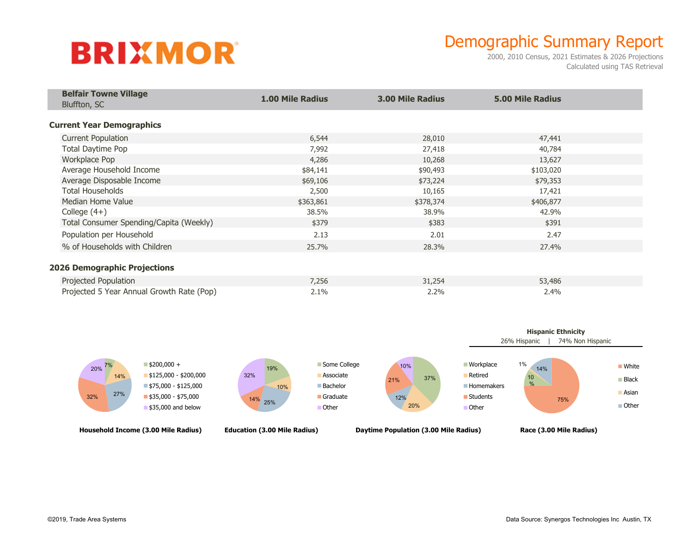# **BRIXMOR**

### Demographic Summary Report

2000, 2010 Census, 2021 Estimates & 2026 Projections Calculated using TAS Retrieval

| <b>Belfair Towne Village</b><br>Bluffton, SC | <b>1.00 Mile Radius</b> | <b>3.00 Mile Radius</b> | <b>5.00 Mile Radius</b> |  |
|----------------------------------------------|-------------------------|-------------------------|-------------------------|--|
| <b>Current Year Demographics</b>             |                         |                         |                         |  |
| <b>Current Population</b>                    | 6,544                   | 28,010                  | 47,441                  |  |
| Total Daytime Pop                            | 7,992                   | 27,418                  | 40,784                  |  |
| Workplace Pop                                | 4,286                   | 10,268                  | 13,627                  |  |
| Average Household Income                     | \$84,141                | \$90,493                | \$103,020               |  |
| Average Disposable Income                    | \$69,106                | \$73,224                | \$79,353                |  |
| <b>Total Households</b>                      | 2,500                   | 10,165                  | 17,421                  |  |
| Median Home Value                            | \$363,861               | \$378,374               | \$406,877               |  |
| College $(4+)$                               | 38.5%                   | 38.9%                   | 42.9%                   |  |
| Total Consumer Spending/Capita (Weekly)      | \$379                   | \$383                   | \$391                   |  |
| Population per Household                     | 2.13                    | 2.01                    | 2.47                    |  |
| % of Households with Children                | 25.7%                   | 28.3%                   | 27.4%                   |  |
| <b>2026 Demographic Projections</b>          |                         |                         |                         |  |
| Projected Population                         | 7,256                   | 31,254                  | 53,486                  |  |
| Projected 5 Year Annual Growth Rate (Pop)    | 2.1%                    | 2.2%                    | 2.4%                    |  |